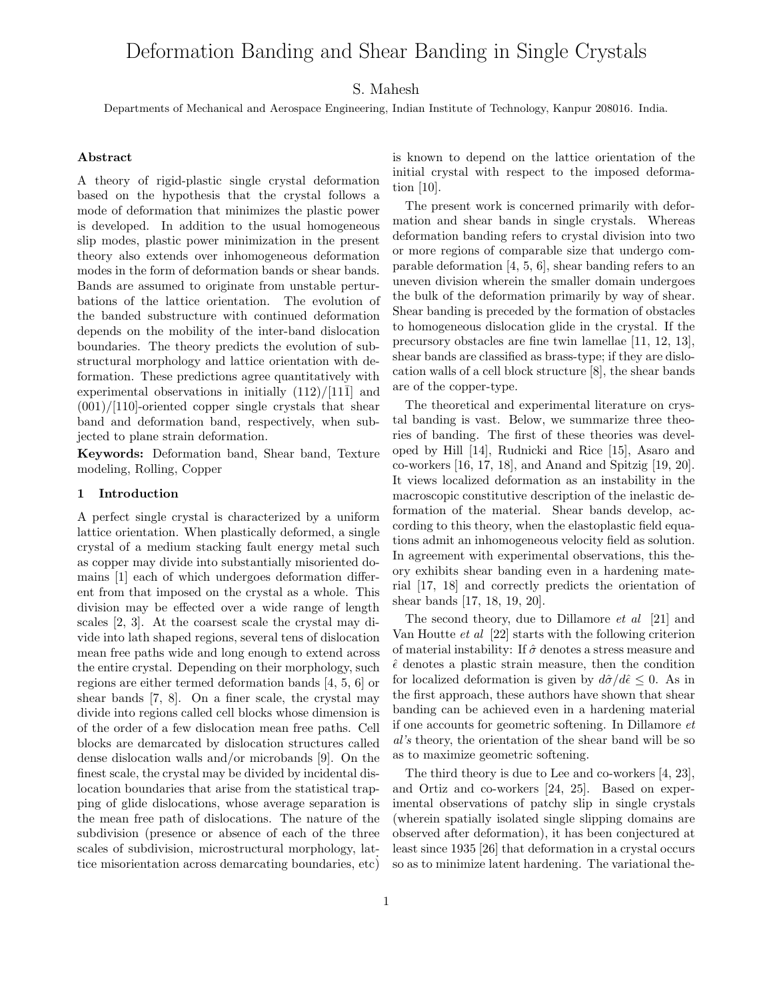# Deformation Banding and Shear Banding in Single Crystals

## S. Mahesh

Departments of Mechanical and Aerospace Engineering, Indian Institute of Technology, Kanpur 208016. India.

#### Abstract

A theory of rigid-plastic single crystal deformation based on the hypothesis that the crystal follows a mode of deformation that minimizes the plastic power is developed. In addition to the usual homogeneous slip modes, plastic power minimization in the present theory also extends over inhomogeneous deformation modes in the form of deformation bands or shear bands. Bands are assumed to originate from unstable perturbations of the lattice orientation. The evolution of the banded substructure with continued deformation depends on the mobility of the inter-band dislocation boundaries. The theory predicts the evolution of substructural morphology and lattice orientation with deformation. These predictions agree quantitatively with experimental observations in initially  $(112)/[11\bar{1}]$  and  $(001)/[110]$ -oriented copper single crystals that shear band and deformation band, respectively, when subjected to plane strain deformation.

Keywords: Deformation band, Shear band, Texture modeling, Rolling, Copper

#### 1 Introduction

A perfect single crystal is characterized by a uniform lattice orientation. When plastically deformed, a single crystal of a medium stacking fault energy metal such as copper may divide into substantially misoriented domains [1] each of which undergoes deformation different from that imposed on the crystal as a whole. This division may be effected over a wide range of length scales [2, 3]. At the coarsest scale the crystal may divide into lath shaped regions, several tens of dislocation mean free paths wide and long enough to extend across the entire crystal. Depending on their morphology, such regions are either termed deformation bands [4, 5, 6] or shear bands [7, 8]. On a finer scale, the crystal may divide into regions called cell blocks whose dimension is of the order of a few dislocation mean free paths. Cell blocks are demarcated by dislocation structures called dense dislocation walls and/or microbands [9]. On the finest scale, the crystal may be divided by incidental dislocation boundaries that arise from the statistical trapping of glide dislocations, whose average separation is the mean free path of dislocations. The nature of the subdivision (presence or absence of each of the three scales of subdivision, microstructural morphology, lattice misorientation across demarcating boundaries, etc)

is known to depend on the lattice orientation of the initial crystal with respect to the imposed deformation [10].

The present work is concerned primarily with deformation and shear bands in single crystals. Whereas deformation banding refers to crystal division into two or more regions of comparable size that undergo comparable deformation [4, 5, 6], shear banding refers to an uneven division wherein the smaller domain undergoes the bulk of the deformation primarily by way of shear. Shear banding is preceded by the formation of obstacles to homogeneous dislocation glide in the crystal. If the precursory obstacles are fine twin lamellae [11, 12, 13], shear bands are classified as brass-type; if they are dislocation walls of a cell block structure [8], the shear bands are of the copper-type.

The theoretical and experimental literature on crystal banding is vast. Below, we summarize three theories of banding. The first of these theories was developed by Hill [14], Rudnicki and Rice [15], Asaro and co-workers [16, 17, 18], and Anand and Spitzig [19, 20]. It views localized deformation as an instability in the macroscopic constitutive description of the inelastic deformation of the material. Shear bands develop, according to this theory, when the elastoplastic field equations admit an inhomogeneous velocity field as solution. In agreement with experimental observations, this theory exhibits shear banding even in a hardening material [17, 18] and correctly predicts the orientation of shear bands [17, 18, 19, 20].

The second theory, due to Dillamore et al [21] and Van Houtte et al [22] starts with the following criterion of material instability: If  $\hat{\sigma}$  denotes a stress measure and  $\hat{\epsilon}$  denotes a plastic strain measure, then the condition for localized deformation is given by  $d\hat{\sigma}/d\hat{\epsilon} \leq 0$ . As in the first approach, these authors have shown that shear banding can be achieved even in a hardening material if one accounts for geometric softening. In Dillamore et al's theory, the orientation of the shear band will be so as to maximize geometric softening.

The third theory is due to Lee and co-workers [4, 23], and Ortiz and co-workers [24, 25]. Based on experimental observations of patchy slip in single crystals (wherein spatially isolated single slipping domains are observed after deformation), it has been conjectured at least since 1935 [26] that deformation in a crystal occurs so as to minimize latent hardening. The variational the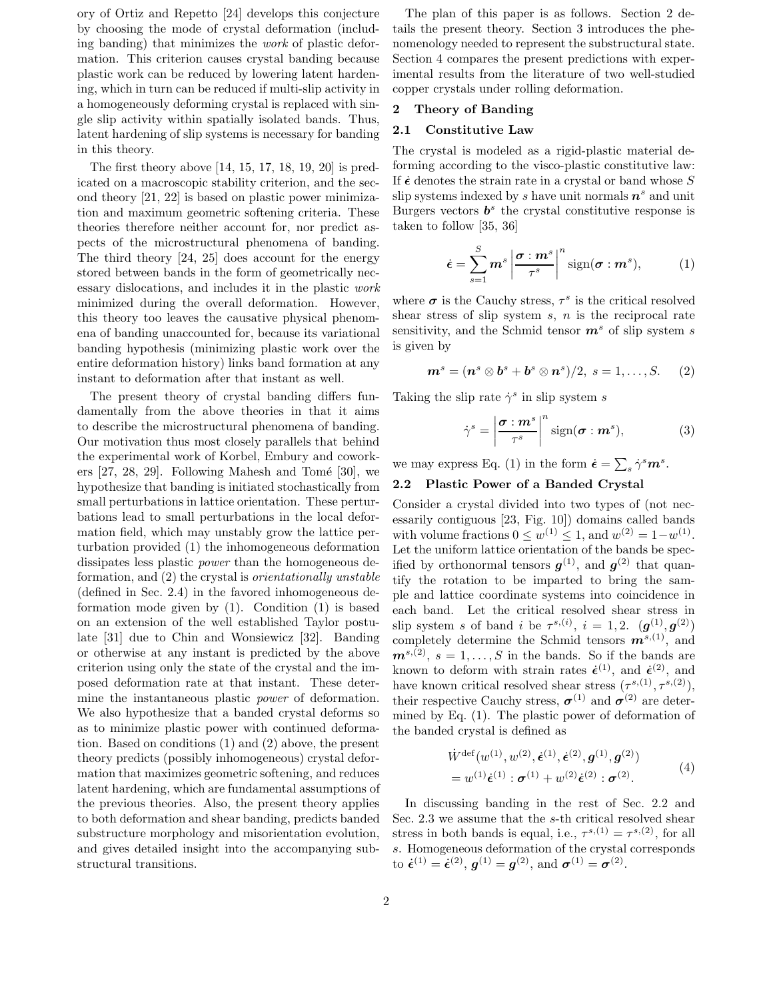ory of Ortiz and Repetto [24] develops this conjecture by choosing the mode of crystal deformation (including banding) that minimizes the work of plastic deformation. This criterion causes crystal banding because plastic work can be reduced by lowering latent hardening, which in turn can be reduced if multi-slip activity in a homogeneously deforming crystal is replaced with single slip activity within spatially isolated bands. Thus, latent hardening of slip systems is necessary for banding in this theory.

The first theory above [14, 15, 17, 18, 19, 20] is predicated on a macroscopic stability criterion, and the second theory [21, 22] is based on plastic power minimization and maximum geometric softening criteria. These theories therefore neither account for, nor predict aspects of the microstructural phenomena of banding. The third theory [24, 25] does account for the energy stored between bands in the form of geometrically necessary dislocations, and includes it in the plastic work minimized during the overall deformation. However, this theory too leaves the causative physical phenomena of banding unaccounted for, because its variational banding hypothesis (minimizing plastic work over the entire deformation history) links band formation at any instant to deformation after that instant as well.

The present theory of crystal banding differs fundamentally from the above theories in that it aims to describe the microstructural phenomena of banding. Our motivation thus most closely parallels that behind the experimental work of Korbel, Embury and coworkers  $[27, 28, 29]$ . Following Mahesh and Tomé  $[30]$ , we hypothesize that banding is initiated stochastically from small perturbations in lattice orientation. These perturbations lead to small perturbations in the local deformation field, which may unstably grow the lattice perturbation provided (1) the inhomogeneous deformation dissipates less plastic power than the homogeneous deformation, and (2) the crystal is orientationally unstable (defined in Sec. 2.4) in the favored inhomogeneous deformation mode given by (1). Condition (1) is based on an extension of the well established Taylor postulate [31] due to Chin and Wonsiewicz [32]. Banding or otherwise at any instant is predicted by the above criterion using only the state of the crystal and the imposed deformation rate at that instant. These determine the instantaneous plastic power of deformation. We also hypothesize that a banded crystal deforms so as to minimize plastic power with continued deformation. Based on conditions (1) and (2) above, the present theory predicts (possibly inhomogeneous) crystal deformation that maximizes geometric softening, and reduces latent hardening, which are fundamental assumptions of the previous theories. Also, the present theory applies to both deformation and shear banding, predicts banded substructure morphology and misorientation evolution, and gives detailed insight into the accompanying substructural transitions.

The plan of this paper is as follows. Section 2 details the present theory. Section 3 introduces the phenomenology needed to represent the substructural state. Section 4 compares the present predictions with experimental results from the literature of two well-studied copper crystals under rolling deformation.

## 2 Theory of Banding

## 2.1 Constitutive Law

The crystal is modeled as a rigid-plastic material deforming according to the visco-plastic constitutive law: If  $\dot{\epsilon}$  denotes the strain rate in a crystal or band whose S slip systems indexed by s have unit normals  $n<sup>s</sup>$  and unit Burgers vectors  $b^s$  the crystal constitutive response is taken to follow [35, 36]

$$
\dot{\boldsymbol{\epsilon}} = \sum_{s=1}^{S} m^s \left| \frac{\boldsymbol{\sigma} : m^s}{\tau^s} \right|^n \text{sign}(\boldsymbol{\sigma} : m^s), \tag{1}
$$

where  $\sigma$  is the Cauchy stress,  $\tau^s$  is the critical resolved shear stress of slip system  $s$ ,  $n$  is the reciprocal rate sensitivity, and the Schmid tensor  $\mathbf{m}^s$  of slip system s is given by

$$
\boldsymbol{m}^s = (\boldsymbol{n}^s \otimes \boldsymbol{b}^s + \boldsymbol{b}^s \otimes \boldsymbol{n}^s)/2, \ s = 1, \ldots, S.
$$
 (2)

Taking the slip rate  $\dot{\gamma}^s$  in slip system s

$$
\dot{\gamma}^s = \left| \frac{\boldsymbol{\sigma} : \boldsymbol{m}^s}{\tau^s} \right|^n \text{sign}(\boldsymbol{\sigma} : \boldsymbol{m}^s),\tag{3}
$$

we may express Eq. (1) in the form  $\dot{\epsilon} = \sum_s \dot{\gamma}^s \mathbf{m}^s$ .

# 2.2 Plastic Power of a Banded Crystal

Consider a crystal divided into two types of (not necessarily contiguous [23, Fig. 10]) domains called bands with volume fractions  $0 \leq w^{(1)} \leq 1$ , and  $w^{(2)} = 1 - w^{(1)}$ . Let the uniform lattice orientation of the bands be specified by orthonormal tensors  $g^{(1)}$ , and  $g^{(2)}$  that quantify the rotation to be imparted to bring the sample and lattice coordinate systems into coincidence in each band. Let the critical resolved shear stress in slip system s of band i be  $\tau^{s,(i)}$ ,  $i = 1, 2$ .  $(g^{(1)}, g^{(2)})$ completely determine the Schmid tensors  $\mathbf{m}^{s,(1)}$ , and  $\mathbf{m}^{s,(2)}, s=1,\ldots,S$  in the bands. So if the bands are known to deform with strain rates  $\dot{\epsilon}^{(1)}$ , and  $\dot{\epsilon}^{(2)}$ , and have known critical resolved shear stress  $(\tau^{s,(1)}, \tau^{s,(2)}),$ their respective Cauchy stress,  $\sigma^{(1)}$  and  $\sigma^{(2)}$  are determined by Eq. (1). The plastic power of deformation of the banded crystal is defined as

$$
\dot{W}^{\text{def}}(w^{(1)}, w^{(2)}, \dot{\epsilon}^{(1)}, \dot{\epsilon}^{(2)}, g^{(1)}, g^{(2)})
$$
\n
$$
= w^{(1)} \dot{\epsilon}^{(1)} : \sigma^{(1)} + w^{(2)} \dot{\epsilon}^{(2)} : \sigma^{(2)}.
$$
\n(4)

In discussing banding in the rest of Sec. 2.2 and Sec. 2.3 we assume that the s-th critical resolved shear stress in both bands is equal, i.e.,  $\tau^{s,(1)} = \tau^{s,(2)}$ , for all s. Homogeneous deformation of the crystal corresponds to  $\dot{\boldsymbol{\epsilon}}^{(1)} = \dot{\boldsymbol{\epsilon}}^{(2)}, \, \boldsymbol{g}^{(1)} = \boldsymbol{g}^{(2)}, \, \text{and} \, \, \boldsymbol{\sigma}^{(1)} = \boldsymbol{\sigma}^{(2)}.$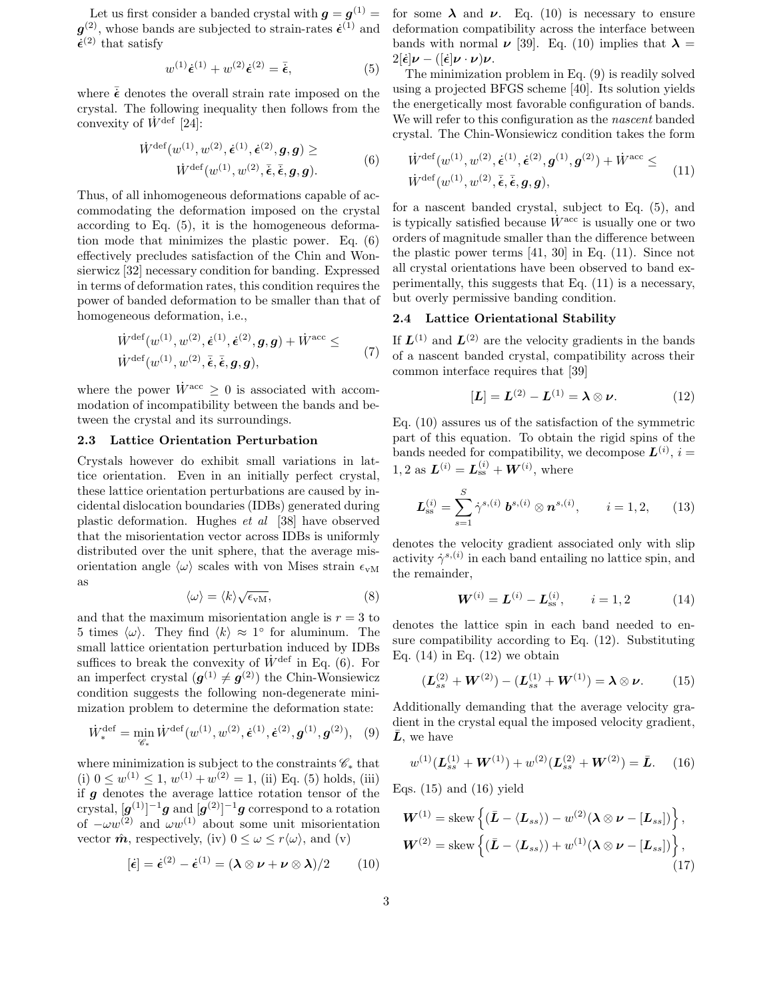Let us first consider a banded crystal with  $g = g^{(1)} =$  $g^{(2)}$ , whose bands are subjected to strain-rates  $\dot{\epsilon}^{(1)}$  and  $\dot{\epsilon}^{(2)}$  that satisfy

$$
w^{(1)}\dot{\epsilon}^{(1)} + w^{(2)}\dot{\epsilon}^{(2)} = \bar{\dot{\epsilon}},\tag{5}
$$

where  $\bar{\mathbf{\epsilon}}$  denotes the overall strain rate imposed on the crystal. The following inequality then follows from the convexity of  $\dot{W}^{\text{def}}$  [24]:

$$
\dot{W}^{\text{def}}(w^{(1)}, w^{(2)}, \dot{\epsilon}^{(1)}, \dot{\epsilon}^{(2)}, g, g) \geq
$$
\n
$$
\dot{W}^{\text{def}}(w^{(1)}, w^{(2)}, \bar{\epsilon}, \bar{\epsilon}, g, g). \tag{6}
$$

Thus, of all inhomogeneous deformations capable of accommodating the deformation imposed on the crystal according to Eq. (5), it is the homogeneous deformation mode that minimizes the plastic power. Eq. (6) effectively precludes satisfaction of the Chin and Wonsierwicz [32] necessary condition for banding. Expressed in terms of deformation rates, this condition requires the power of banded deformation to be smaller than that of homogeneous deformation, i.e.,

$$
\dot{W}^{\text{def}}(w^{(1)}, w^{(2)}, \dot{\epsilon}^{(1)}, \dot{\epsilon}^{(2)}, g, g) + \dot{W}^{\text{acc}} \leq \dot{W}^{\text{def}}(w^{(1)}, w^{(2)}, \bar{\epsilon}, \bar{\epsilon}, g, g), \tag{7}
$$

where the power  $\dot{W}^{\text{acc}} \geq 0$  is associated with accommodation of incompatibility between the bands and between the crystal and its surroundings.

#### 2.3 Lattice Orientation Perturbation

Crystals however do exhibit small variations in lattice orientation. Even in an initially perfect crystal, these lattice orientation perturbations are caused by incidental dislocation boundaries (IDBs) generated during plastic deformation. Hughes et al [38] have observed that the misorientation vector across IDBs is uniformly distributed over the unit sphere, that the average misorientation angle  $\langle \omega \rangle$  scales with von Mises strain  $\epsilon_{vM}$ as

$$
\langle \omega \rangle = \langle k \rangle \sqrt{\epsilon_{\rm vM}},\tag{8}
$$

and that the maximum misorientation angle is  $r = 3$  to 5 times  $\langle \omega \rangle$ . They find  $\langle k \rangle \approx 1^{\circ}$  for aluminum. The small lattice orientation perturbation induced by IDBs suffices to break the convexity of  $\dot{W}^{\text{def}}$  in Eq. (6). For an imperfect crystal  $(g^{(1)} \neq g^{(2)})$  the Chin-Wonsiewicz condition suggests the following non-degenerate minimization problem to determine the deformation state:

$$
\dot{W}_{*}^{\text{def}} = \min_{\mathscr{C}_{*}} \dot{W}^{\text{def}}(w^{(1)}, w^{(2)}, \dot{\epsilon}^{(1)}, \dot{\epsilon}^{(2)}, g^{(1)}, g^{(2)}), \quad (9)
$$

where minimization is subject to the constraints  $\mathscr{C}_*$  that (i)  $0 \leq w^{(1)} \leq 1, w^{(1)} + w^{(2)} = 1$ , (ii) Eq. (5) holds, (iii) if  $g$  denotes the average lattice rotation tensor of the crystal,  $[\boldsymbol{g}^{(1)}]^{-1}\boldsymbol{g}$  and  $[\boldsymbol{g}^{(2)}]^{-1}\boldsymbol{g}$  correspond to a rotation of  $-\omega w^{(2)}$  and  $\omega w^{(1)}$  about some unit misorientation vector  $\hat{\boldsymbol{m}}$ , respectively, (iv)  $0 \leq \omega \leq r \langle \omega \rangle$ , and (v)

$$
[\dot{\boldsymbol{\epsilon}}] = \dot{\boldsymbol{\epsilon}}^{(2)} - \dot{\boldsymbol{\epsilon}}^{(1)} = (\boldsymbol{\lambda} \otimes \boldsymbol{\nu} + \boldsymbol{\nu} \otimes \boldsymbol{\lambda})/2 \qquad (10)
$$

for some  $\lambda$  and  $\nu$ . Eq. (10) is necessary to ensure deformation compatibility across the interface between bands with normal  $\nu$  [39]. Eq. (10) implies that  $\lambda =$  $2[\dot{\epsilon}]\nu - ([\dot{\epsilon}]\nu \cdot \nu]\nu.$ 

The minimization problem in Eq. (9) is readily solved using a projected BFGS scheme [40]. Its solution yields the energetically most favorable configuration of bands. We will refer to this configuration as the *nascent* banded crystal. The Chin-Wonsiewicz condition takes the form

$$
\dot{W}^{\text{def}}(w^{(1)}, w^{(2)}, \dot{\epsilon}^{(1)}, \dot{\epsilon}^{(2)}, g^{(1)}, g^{(2)}) + \dot{W}^{\text{acc}} \leq \n\dot{W}^{\text{def}}(w^{(1)}, w^{(2)}, \bar{\epsilon}, \bar{\epsilon}, g, g),
$$
\n(11)

for a nascent banded crystal, subject to Eq. (5), and is typically satisfied because  $\dot{W}^{\text{acc}}$  is usually one or two orders of magnitude smaller than the difference between the plastic power terms [41, 30] in Eq. (11). Since not all crystal orientations have been observed to band experimentally, this suggests that Eq. (11) is a necessary, but overly permissive banding condition.

## 2.4 Lattice Orientational Stability

If  $\mathbf{L}^{(1)}$  and  $\mathbf{L}^{(2)}$  are the velocity gradients in the bands of a nascent banded crystal, compatibility across their common interface requires that [39]

$$
[\mathbf{L}] = \mathbf{L}^{(2)} - \mathbf{L}^{(1)} = \boldsymbol{\lambda} \otimes \boldsymbol{\nu}.
$$
 (12)

Eq. (10) assures us of the satisfaction of the symmetric part of this equation. To obtain the rigid spins of the bands needed for compatibility, we decompose  $\mathbf{L}^{(i)}$ ,  $i =$ 1, 2 as  $L^{(i)} = L_{ss}^{(i)} + W^{(i)}$ , where

$$
\mathbf{L}_{\rm ss}^{(i)} = \sum_{s=1}^{S} \dot{\gamma}^{s,(i)} \; \mathbf{b}^{s,(i)} \otimes \mathbf{n}^{s,(i)}, \qquad i = 1, 2, \qquad (13)
$$

denotes the velocity gradient associated only with slip activity  $\dot{\gamma}^{s,(i)}$  in each band entailing no lattice spin, and the remainder,

$$
\mathbf{W}^{(i)} = \mathbf{L}^{(i)} - \mathbf{L}_{\text{ss}}^{(i)}, \qquad i = 1, 2 \tag{14}
$$

denotes the lattice spin in each band needed to ensure compatibility according to Eq. (12). Substituting Eq.  $(14)$  in Eq.  $(12)$  we obtain

$$
(\mathbf{L}_{ss}^{(2)} + \mathbf{W}^{(2)}) - (\mathbf{L}_{ss}^{(1)} + \mathbf{W}^{(1)}) = \lambda \otimes \nu.
$$
 (15)

Additionally demanding that the average velocity gradient in the crystal equal the imposed velocity gradient,  $\bar{L}$ , we have

$$
w^{(1)}(\mathbf{L}_{ss}^{(1)} + \mathbf{W}^{(1)}) + w^{(2)}(\mathbf{L}_{ss}^{(2)} + \mathbf{W}^{(2)}) = \bar{\mathbf{L}}.
$$
 (16)

Eqs.  $(15)$  and  $(16)$  yield

$$
\boldsymbol{W}^{(1)} = \text{skew}\left\{ (\bar{\boldsymbol{L}} - \langle \boldsymbol{L}_{ss} \rangle) - w^{(2)}(\boldsymbol{\lambda} \otimes \boldsymbol{\nu} - [\boldsymbol{L}_{ss}]) \right\},
$$
  

$$
\boldsymbol{W}^{(2)} = \text{skew}\left\{ (\bar{\boldsymbol{L}} - \langle \boldsymbol{L}_{ss} \rangle) + w^{(1)}(\boldsymbol{\lambda} \otimes \boldsymbol{\nu} - [\boldsymbol{L}_{ss}]) \right\},
$$
(17)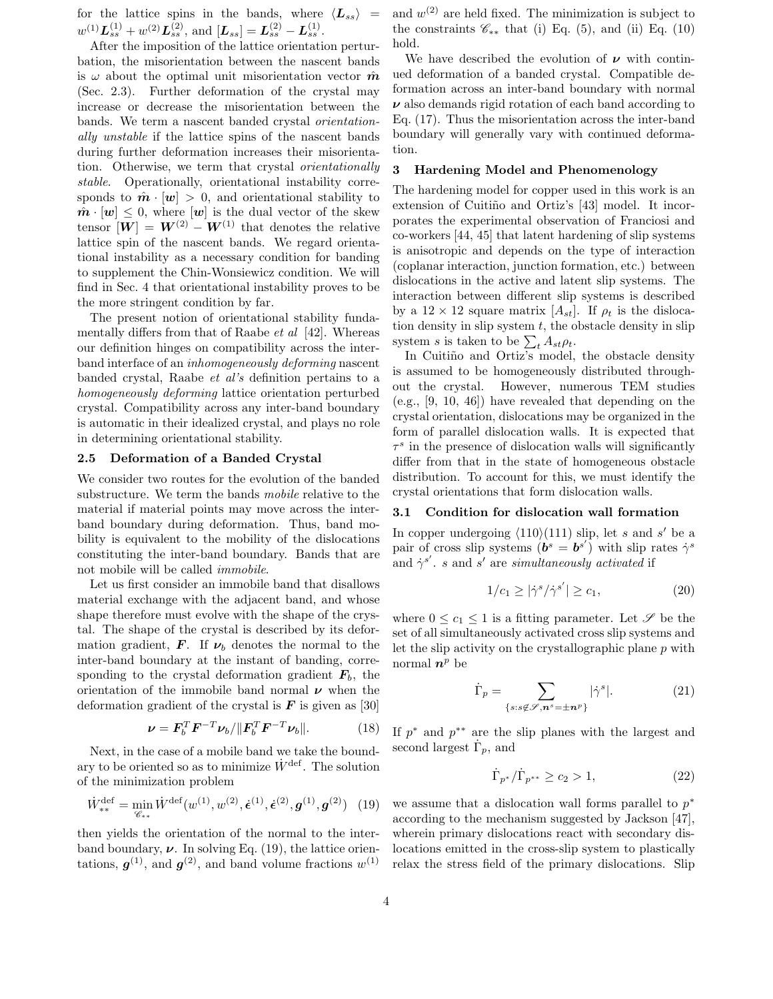for the lattice spins in the bands, where  $\langle L_{ss} \rangle$  =  $w^{(1)} L_{ss}^{(1)} + w^{(2)} L_{ss}^{(2)}, \, \text{and} \, [L_{ss}] = L_{ss}^{(2)} - L_{ss}^{(1)}.$ 

After the imposition of the lattice orientation perturbation, the misorientation between the nascent bands is  $\omega$  about the optimal unit misorientation vector  $\hat{\boldsymbol{m}}$ (Sec. 2.3). Further deformation of the crystal may increase or decrease the misorientation between the bands. We term a nascent banded crystal orientationally unstable if the lattice spins of the nascent bands during further deformation increases their misorientation. Otherwise, we term that crystal orientationally stable. Operationally, orientational instability corresponds to  $\hat{\boldsymbol{m}} \cdot [\boldsymbol{w}] > 0$ , and orientational stability to  $\hat{\boldsymbol{m}} \cdot [\boldsymbol{w}] \leq 0$ , where  $[\boldsymbol{w}]$  is the dual vector of the skew tensor  $[W] = W^{(2)} - W^{(1)}$  that denotes the relative lattice spin of the nascent bands. We regard orientational instability as a necessary condition for banding to supplement the Chin-Wonsiewicz condition. We will find in Sec. 4 that orientational instability proves to be the more stringent condition by far.

The present notion of orientational stability fundamentally differs from that of Raabe  $et \ al \ [42]$ . Whereas our definition hinges on compatibility across the interband interface of an inhomogeneously deforming nascent banded crystal, Raabe et al's definition pertains to a homogeneously deforming lattice orientation perturbed crystal. Compatibility across any inter-band boundary is automatic in their idealized crystal, and plays no role in determining orientational stability.

## 2.5 Deformation of a Banded Crystal

We consider two routes for the evolution of the banded substructure. We term the bands mobile relative to the material if material points may move across the interband boundary during deformation. Thus, band mobility is equivalent to the mobility of the dislocations constituting the inter-band boundary. Bands that are not mobile will be called immobile.

Let us first consider an immobile band that disallows material exchange with the adjacent band, and whose shape therefore must evolve with the shape of the crystal. The shape of the crystal is described by its deformation gradient, **F**. If  $\nu_b$  denotes the normal to the inter-band boundary at the instant of banding, corresponding to the crystal deformation gradient  $\mathbf{F}_b$ , the orientation of the immobile band normal  $\nu$  when the deformation gradient of the crystal is  $\boldsymbol{F}$  is given as [30]

$$
\nu = \boldsymbol{F}_b^T \boldsymbol{F}^{-T} \nu_b / \| \boldsymbol{F}_b^T \boldsymbol{F}^{-T} \nu_b \|.
$$
 (18)

Next, in the case of a mobile band we take the boundary to be oriented so as to minimize  $\dot{W}^{\text{def}}$ . The solution of the minimization problem

$$
\dot{W}_{**}^{\text{def}} = \min_{\mathcal{C}_{**}} \dot{W}^{\text{def}}(w^{(1)}, w^{(2)}, \dot{\epsilon}^{(1)}, \dot{\epsilon}^{(2)}, g^{(1)}, g^{(2)}) \tag{19}
$$

then yields the orientation of the normal to the interband boundary,  $\nu$ . In solving Eq. (19), the lattice orientations,  $g^{(1)}$ , and  $g^{(2)}$ , and band volume fractions  $w^{(1)}$ 

and  $w^{(2)}$  are held fixed. The minimization is subject to the constraints  $\mathscr{C}_{**}$  that (i) Eq. (5), and (ii) Eq. (10) hold.

We have described the evolution of  $\nu$  with continued deformation of a banded crystal. Compatible deformation across an inter-band boundary with normal  $\nu$  also demands rigid rotation of each band according to Eq. (17). Thus the misorientation across the inter-band boundary will generally vary with continued deformation.

#### 3 Hardening Model and Phenomenology

The hardening model for copper used in this work is an extension of Cuitiño and Ortiz's [43] model. It incorporates the experimental observation of Franciosi and co-workers [44, 45] that latent hardening of slip systems is anisotropic and depends on the type of interaction (coplanar interaction, junction formation, etc.) between dislocations in the active and latent slip systems. The interaction between different slip systems is described by a  $12 \times 12$  square matrix  $[A_{st}]$ . If  $\rho_t$  is the dislocation density in slip system  $t$ , the obstacle density in slip system s is taken to be  $\sum_{t} A_{st} \rho_t$ .

In Cuitiño and Ortiz's model, the obstacle density is assumed to be homogeneously distributed throughout the crystal. However, numerous TEM studies (e.g., [9, 10, 46]) have revealed that depending on the crystal orientation, dislocations may be organized in the form of parallel dislocation walls. It is expected that  $\tau^s$  in the presence of dislocation walls will significantly differ from that in the state of homogeneous obstacle distribution. To account for this, we must identify the crystal orientations that form dislocation walls.

#### 3.1 Condition for dislocation wall formation

In copper undergoing  $\langle 110 \rangle(111)$  slip, let s and s' be a pair of cross slip systems  $(\vec{b}^s = \vec{b}^{s'})$  with slip rates  $\gamma^s$ and  $\dot{\gamma}^{s'}$ . s and s' are simultaneously activated if

$$
1/c_1 \ge |\dot{\gamma}^s / \dot{\gamma}^{s'}| \ge c_1,\tag{20}
$$

where  $0 \leq c_1 \leq 1$  is a fitting parameter. Let  $\mathscr S$  be the set of all simultaneously activated cross slip systems and let the slip activity on the crystallographic plane p with normal  $n^p$  be

$$
\dot{\Gamma}_p = \sum_{\{s:s\not\in\mathscr{S},\mathbf{n}^s=\pm\mathbf{n}^p\}} |\dot{\gamma}^s|. \tag{21}
$$

If  $p^*$  and  $p^{**}$  are the slip planes with the largest and second largest  $\dot{\Gamma}_p$ , and

$$
\dot{\Gamma}_{p^*}/\dot{\Gamma}_{p^{**}} \ge c_2 > 1,
$$
\n(22)

we assume that a dislocation wall forms parallel to  $p^*$ according to the mechanism suggested by Jackson [47], wherein primary dislocations react with secondary dislocations emitted in the cross-slip system to plastically relax the stress field of the primary dislocations. Slip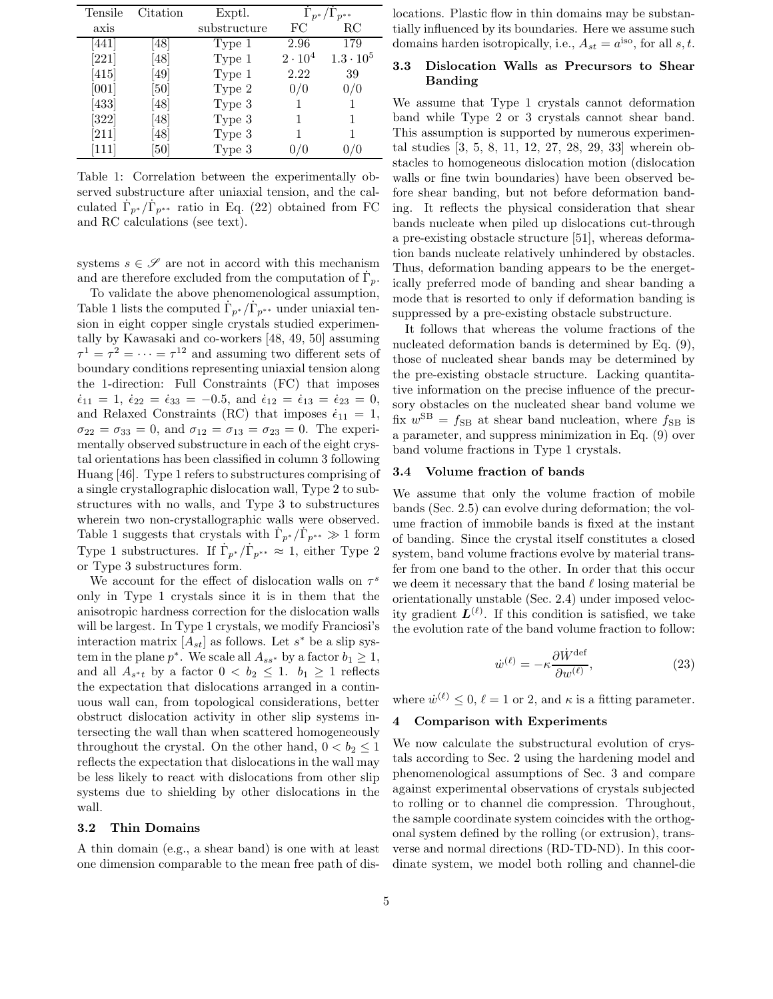| Tensile | Citation | Exptl.            |                | $\Gamma_{p^*}/\Gamma_{p^{**}}$ |
|---------|----------|-------------------|----------------|--------------------------------|
| axis    |          | substructure      | FC             | RC                             |
| [441]   | 48       | Type 1            | 2.96           | 179                            |
| [221]   | [48]     | Type 1            | $2 \cdot 10^4$ | $1.3 \cdot 10^5$               |
| [415]   | [49]     | Type 1            | 2.22           | 39                             |
| [001]   | [50]     | Type 2            | 0/0            | 0/0                            |
| [433]   | [48]     | Type 3            |                |                                |
| $[322]$ | [48]     | Type 3            |                |                                |
| [211]   | 48       | Type 3            |                |                                |
| [111]   | 50       | Type <sub>3</sub> |                |                                |

Table 1: Correlation between the experimentally observed substructure after uniaxial tension, and the calculated  $\dot{\Gamma}_{p^*}/\dot{\Gamma}_{p^{**}}$  ratio in Eq. (22) obtained from FC and RC calculations (see text).

systems  $s \in \mathscr{S}$  are not in accord with this mechanism and are therefore excluded from the computation of  $\dot{\Gamma}_p$ .

To validate the above phenomenological assumption, Table 1 lists the computed  $\dot{\Gamma}_{p^*}/\dot{\Gamma}_{p^{**}}$  under uniaxial tension in eight copper single crystals studied experimentally by Kawasaki and co-workers [48, 49, 50] assuming  $\tau^1 = \tau^2 = \cdots = \tau^{12}$  and assuming two different sets of boundary conditions representing uniaxial tension along the 1-direction: Full Constraints (FC) that imposes  $\dot{\epsilon}_{11} = 1, \ \dot{\epsilon}_{22} = \dot{\epsilon}_{33} = -0.5, \text{ and } \dot{\epsilon}_{12} = \dot{\epsilon}_{13} = \dot{\epsilon}_{23} = 0,$ and Relaxed Constraints (RC) that imposes  $\dot{\epsilon}_{11} = 1$ ,  $\sigma_{22} = \sigma_{33} = 0$ , and  $\sigma_{12} = \sigma_{13} = \sigma_{23} = 0$ . The experimentally observed substructure in each of the eight crystal orientations has been classified in column 3 following Huang [46]. Type 1 refers to substructures comprising of a single crystallographic dislocation wall, Type 2 to substructures with no walls, and Type 3 to substructures wherein two non-crystallographic walls were observed. Table 1 suggests that crystals with  $\Gamma_{p^*}/\Gamma_{p^{**}} \gg 1$  form Type 1 substructures. If  $\dot{\Gamma}_{p^*}/\dot{\Gamma}_{p^{**}} \approx 1$ , either Type 2 or Type 3 substructures form.

We account for the effect of dislocation walls on  $\tau^s$ only in Type 1 crystals since it is in them that the anisotropic hardness correction for the dislocation walls will be largest. In Type 1 crystals, we modify Franciosi's interaction matrix  $[A_{st}]$  as follows. Let  $s^*$  be a slip system in the plane  $p^*$ . We scale all  $A_{ss^*}$  by a factor  $b_1 \geq 1$ , and all  $A_{s^*t}$  by a factor  $0 < b_2 \leq 1$ .  $b_1 \geq 1$  reflects the expectation that dislocations arranged in a continuous wall can, from topological considerations, better obstruct dislocation activity in other slip systems intersecting the wall than when scattered homogeneously throughout the crystal. On the other hand,  $0 < b_2 \leq 1$ reflects the expectation that dislocations in the wall may be less likely to react with dislocations from other slip systems due to shielding by other dislocations in the wall.

#### 3.2 Thin Domains

A thin domain (e.g., a shear band) is one with at least one dimension comparable to the mean free path of dislocations. Plastic flow in thin domains may be substantially influenced by its boundaries. Here we assume such domains harden isotropically, i.e.,  $A_{st} = a^{iso}$ , for all s, t.

## 3.3 Dislocation Walls as Precursors to Shear Banding

We assume that Type 1 crystals cannot deformation band while Type 2 or 3 crystals cannot shear band. This assumption is supported by numerous experimental studies [3, 5, 8, 11, 12, 27, 28, 29, 33] wherein obstacles to homogeneous dislocation motion (dislocation walls or fine twin boundaries) have been observed before shear banding, but not before deformation banding. It reflects the physical consideration that shear bands nucleate when piled up dislocations cut-through a pre-existing obstacle structure [51], whereas deformation bands nucleate relatively unhindered by obstacles. Thus, deformation banding appears to be the energetically preferred mode of banding and shear banding a mode that is resorted to only if deformation banding is suppressed by a pre-existing obstacle substructure.

It follows that whereas the volume fractions of the nucleated deformation bands is determined by Eq. (9), those of nucleated shear bands may be determined by the pre-existing obstacle structure. Lacking quantitative information on the precise influence of the precursory obstacles on the nucleated shear band volume we fix  $w^{SB} = f_{SB}$  at shear band nucleation, where  $f_{SB}$  is a parameter, and suppress minimization in Eq. (9) over band volume fractions in Type 1 crystals.

#### 3.4 Volume fraction of bands

We assume that only the volume fraction of mobile bands (Sec. 2.5) can evolve during deformation; the volume fraction of immobile bands is fixed at the instant of banding. Since the crystal itself constitutes a closed system, band volume fractions evolve by material transfer from one band to the other. In order that this occur we deem it necessary that the band  $\ell$  losing material be orientationally unstable (Sec. 2.4) under imposed velocity gradient  $\mathbf{L}^{(\ell)}$ . If this condition is satisfied, we take the evolution rate of the band volume fraction to follow:

$$
\dot{w}^{(\ell)} = -\kappa \frac{\partial \dot{W}^{\text{def}}}{\partial w^{(\ell)}},\tag{23}
$$

where  $\dot{w}^{(\ell)} \leq 0$ ,  $\ell = 1$  or 2, and  $\kappa$  is a fitting parameter.

#### 4 Comparison with Experiments

We now calculate the substructural evolution of crystals according to Sec. 2 using the hardening model and phenomenological assumptions of Sec. 3 and compare against experimental observations of crystals subjected to rolling or to channel die compression. Throughout, the sample coordinate system coincides with the orthogonal system defined by the rolling (or extrusion), transverse and normal directions (RD-TD-ND). In this coordinate system, we model both rolling and channel-die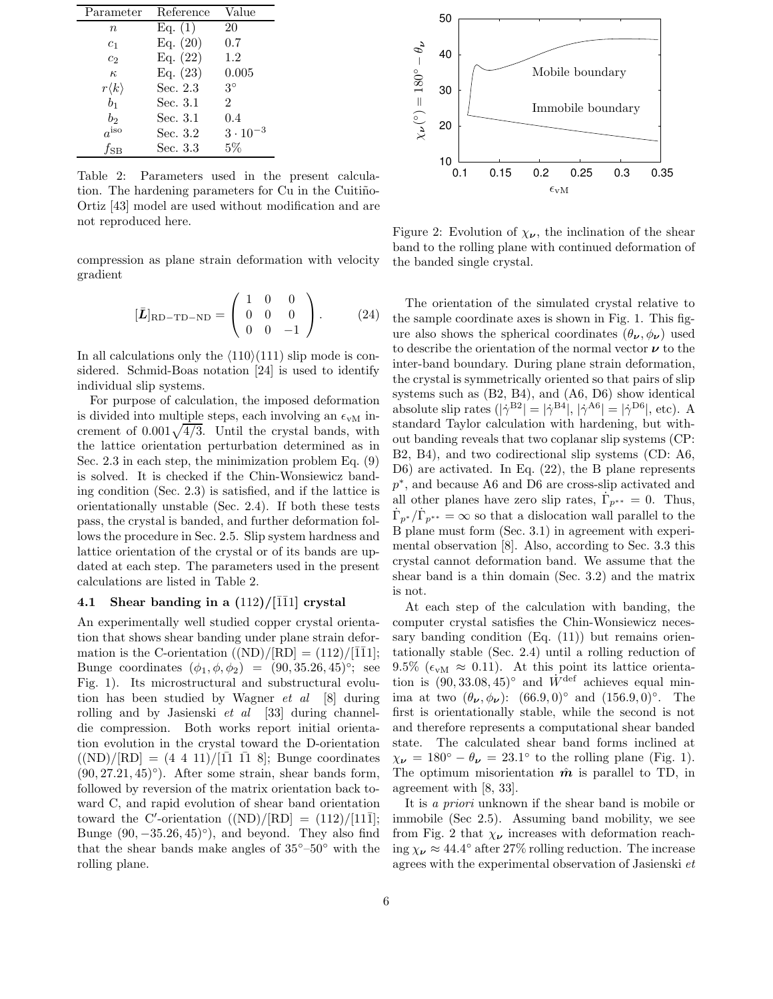| Parameter           | Reference  | Value             |  |
|---------------------|------------|-------------------|--|
| $\it{n}$            | Eq. (1)    | 20                |  |
| $c_1$               | Eq. $(20)$ | 0.7               |  |
| c <sub>2</sub>      | Eq. $(22)$ | 1.2               |  |
| $\kappa$            | Eq. $(23)$ | 0.005             |  |
| $r\langle k\rangle$ | Sec. 2.3   | $3^{\circ}$       |  |
| b <sub>1</sub>      | Sec. 3.1   | $\overline{2}$    |  |
| $b_2$               | Sec. 3.1   | 0.4               |  |
| $a^{iso}$           | Sec. 3.2   | $3 \cdot 10^{-3}$ |  |
| $f_{\rm SB}$        | Sec. 3.3   | $5\%$             |  |

Table 2: Parameters used in the present calculation. The hardening parameters for Cu in the Cuitiño-Ortiz [43] model are used without modification and are not reproduced here.

compression as plane strain deformation with velocity gradient

$$
[\bar{L}]_{\text{RD-TD-ND}} = \begin{pmatrix} 1 & 0 & 0 \\ 0 & 0 & 0 \\ 0 & 0 & -1 \end{pmatrix} . \tag{24}
$$

In all calculations only the  $\langle 110 \rangle(111)$  slip mode is considered. Schmid-Boas notation [24] is used to identify individual slip systems.

For purpose of calculation, the imposed deformation is divided into multiple steps, each involving an  $\epsilon_{vM}$  increment of  $0.001\sqrt{4/3}$ . Until the crystal bands, with the lattice orientation perturbation determined as in Sec. 2.3 in each step, the minimization problem Eq. (9) is solved. It is checked if the Chin-Wonsiewicz banding condition (Sec. 2.3) is satisfied, and if the lattice is orientationally unstable (Sec. 2.4). If both these tests pass, the crystal is banded, and further deformation follows the procedure in Sec. 2.5. Slip system hardness and lattice orientation of the crystal or of its bands are updated at each step. The parameters used in the present calculations are listed in Table 2.

#### 4.1 Shear banding in a  $(112)/[\overline{1}\overline{1}1]$  crystal

An experimentally well studied copper crystal orientation that shows shear banding under plane strain deformation is the C-orientation  $((ND)/[RD] = (112)/[1\overline{1}1]$ ; Bunge coordinates  $(\phi_1, \phi, \phi_2) = (90, 35.26, 45)$ °; see Fig. 1). Its microstructural and substructural evolution has been studied by Wagner et al [8] during rolling and by Jasienski  $et \ al$  [33] during channeldie compression. Both works report initial orientation evolution in the crystal toward the D-orientation  $((ND)/[RD] = (4 \t4 \t11)/[11 \t11 \t8]$ ; Bunge coordinates  $(90, 27.21, 45)°$ ). After some strain, shear bands form, followed by reversion of the matrix orientation back toward C, and rapid evolution of shear band orientation toward the C'-orientation  $((ND)/[RD] = (112)/[11\bar{1}];$ Bunge  $(90, -35.26, 45)°$ ), and beyond. They also find that the shear bands make angles of  $35^{\circ}$ – $50^{\circ}$  with the rolling plane.



Figure 2: Evolution of  $\chi_{\nu}$ , the inclination of the shear band to the rolling plane with continued deformation of the banded single crystal.

The orientation of the simulated crystal relative to the sample coordinate axes is shown in Fig. 1. This figure also shows the spherical coordinates  $(\theta_{\nu}, \phi_{\nu})$  used to describe the orientation of the normal vector  $\nu$  to the inter-band boundary. During plane strain deformation, the crystal is symmetrically oriented so that pairs of slip systems such as (B2, B4), and (A6, D6) show identical absolute slip rates  $(|\dot{\gamma}^{B2}| = |\dot{\gamma}^{B4}|, |\dot{\gamma}^{A6}| = |\dot{\gamma}^{D6}|,$  etc). A standard Taylor calculation with hardening, but without banding reveals that two coplanar slip systems (CP: B2, B4), and two codirectional slip systems (CD: A6, D6) are activated. In Eq. (22), the B plane represents p ∗ , and because A6 and D6 are cross-slip activated and all other planes have zero slip rates,  $\dot{\Gamma}_{p^{**}} = 0$ . Thus,  $\dot{\Gamma}_{p^*}/\dot{\Gamma}_{p^{**}} = \infty$  so that a dislocation wall parallel to the B plane must form (Sec. 3.1) in agreement with experimental observation [8]. Also, according to Sec. 3.3 this crystal cannot deformation band. We assume that the shear band is a thin domain (Sec. 3.2) and the matrix is not.

At each step of the calculation with banding, the computer crystal satisfies the Chin-Wonsiewicz necessary banding condition  $(Eq. (11))$  but remains orientationally stable (Sec. 2.4) until a rolling reduction of 9.5% ( $\epsilon_{vM} \approx 0.11$ ). At this point its lattice orientation is  $(90, 33.08, 45)°$  and  $\dot{W}^{\text{def}}$  achieves equal minima at two  $(\theta_{\nu}, \phi_{\nu})$ :  $(66.9, 0)°$  and  $(156.9, 0)°$ . The first is orientationally stable, while the second is not and therefore represents a computational shear banded state. The calculated shear band forms inclined at  $\chi_{\nu} = 180^{\circ} - \theta_{\nu} = 23.1^{\circ}$  to the rolling plane (Fig. 1). The optimum misorientation  $\hat{m}$  is parallel to TD, in agreement with [8, 33].

It is a priori unknown if the shear band is mobile or immobile (Sec 2.5). Assuming band mobility, we see from Fig. 2 that  $\chi_{\nu}$  increases with deformation reaching  $\chi_{\nu} \approx 44.4^{\circ}$  after 27% rolling reduction. The increase agrees with the experimental observation of Jasienski et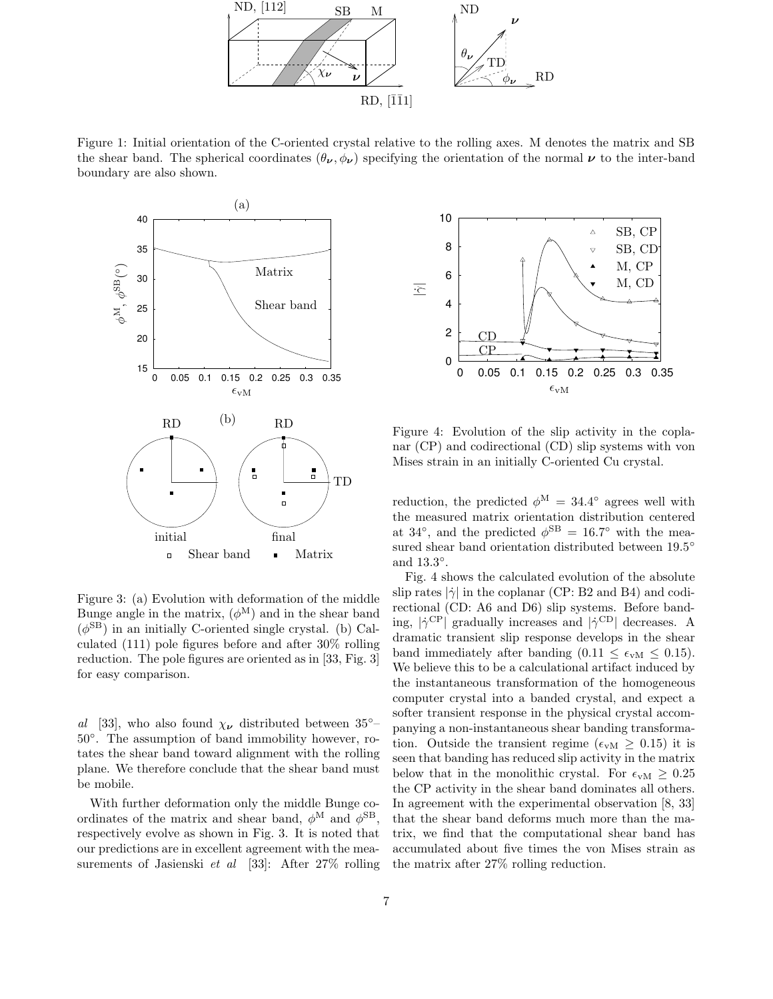

Figure 1: Initial orientation of the C-oriented crystal relative to the rolling axes. M denotes the matrix and SB the shear band. The spherical coordinates  $(\theta_{\nu}, \phi_{\nu})$  specifying the orientation of the normal  $\nu$  to the inter-band boundary are also shown.



Figure 3: (a) Evolution with deformation of the middle Bunge angle in the matrix,  $(\phi^M)$  and in the shear band  $(\phi^{\text{SB}})$  in an initially C-oriented single crystal. (b) Calculated (111) pole figures before and after 30% rolling reduction. The pole figures are oriented as in [33, Fig. 3] for easy comparison.

al [33], who also found  $\chi_{\nu}$  distributed between 35°– 50◦ . The assumption of band immobility however, rotates the shear band toward alignment with the rolling plane. We therefore conclude that the shear band must be mobile.

With further deformation only the middle Bunge coordinates of the matrix and shear band,  $\phi^{\text{M}}$  and  $\phi^{\text{SB}}$ , respectively evolve as shown in Fig. 3. It is noted that our predictions are in excellent agreement with the measurements of Jasienski et al [33]: After 27% rolling



Figure 4: Evolution of the slip activity in the coplanar (CP) and codirectional (CD) slip systems with von Mises strain in an initially C-oriented Cu crystal.

reduction, the predicted  $\phi^{\rm M} = 34.4^{\circ}$  agrees well with the measured matrix orientation distribution centered at 34<sup>°</sup>, and the predicted  $\phi^{\text{SB}} = 16.7^{\circ}$  with the measured shear band orientation distributed between  $19.5^{\circ}$ and 13.3°.

Fig. 4 shows the calculated evolution of the absolute slip rates  $|\dot{\gamma}|$  in the coplanar (CP: B2 and B4) and codirectional (CD: A6 and D6) slip systems. Before banding,  $|\dot{\gamma}^{\rm CP}|$  gradually increases and  $|\dot{\gamma}^{\rm CD}|$  decreases. A dramatic transient slip response develops in the shear band immediately after banding  $(0.11 \leq \epsilon_{vM} \leq 0.15)$ . We believe this to be a calculational artifact induced by the instantaneous transformation of the homogeneous computer crystal into a banded crystal, and expect a softer transient response in the physical crystal accompanying a non-instantaneous shear banding transformation. Outside the transient regime ( $\epsilon_{vM} \geq 0.15$ ) it is seen that banding has reduced slip activity in the matrix below that in the monolithic crystal. For  $\epsilon_{vM} \geq 0.25$ the CP activity in the shear band dominates all others. In agreement with the experimental observation [8, 33] that the shear band deforms much more than the matrix, we find that the computational shear band has accumulated about five times the von Mises strain as the matrix after 27% rolling reduction.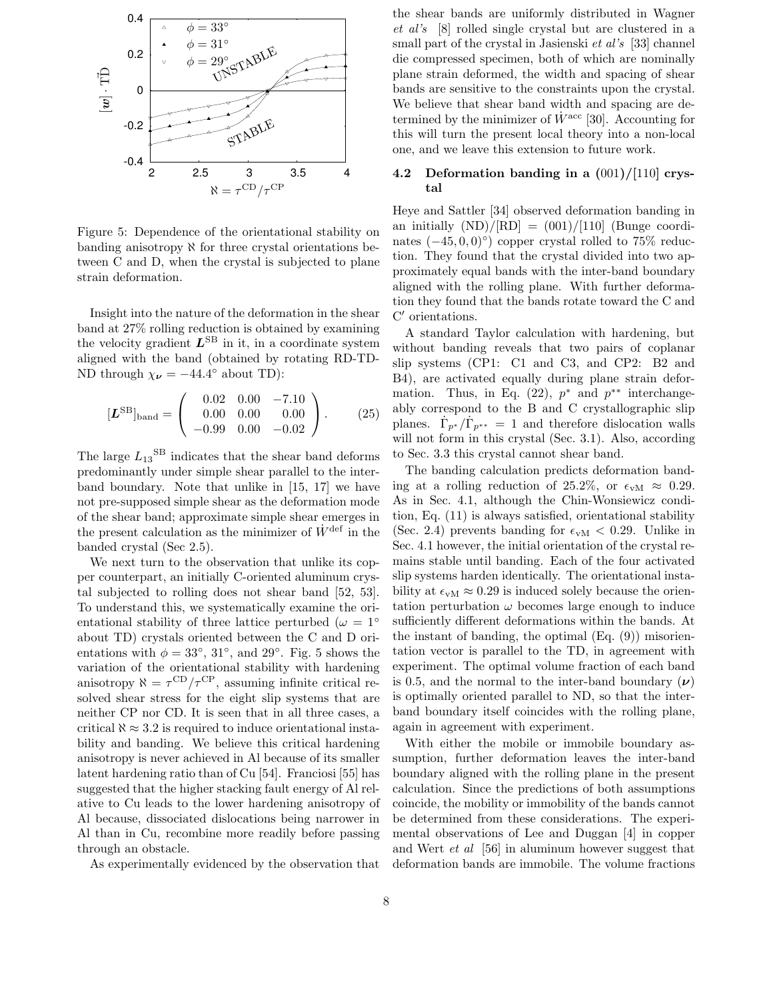

Figure 5: Dependence of the orientational stability on banding anisotropy  $\aleph$  for three crystal orientations between C and D, when the crystal is subjected to plane strain deformation.

Insight into the nature of the deformation in the shear band at 27% rolling reduction is obtained by examining the velocity gradient  $L^{SB}$  in it, in a coordinate system aligned with the band (obtained by rotating RD-TD-ND through  $\chi_{\nu} = -44.4^{\circ}$  about TD):

$$
[\boldsymbol{L}^{\text{SB}}]_{\text{band}} = \begin{pmatrix} 0.02 & 0.00 & -7.10 \\ 0.00 & 0.00 & 0.00 \\ -0.99 & 0.00 & -0.02 \end{pmatrix} . \tag{25}
$$

The large  $L_{13}^{SB}$  indicates that the shear band deforms predominantly under simple shear parallel to the interband boundary. Note that unlike in [15, 17] we have not pre-supposed simple shear as the deformation mode of the shear band; approximate simple shear emerges in the present calculation as the minimizer of  $\dot{W}^{\text{def}}$  in the banded crystal (Sec 2.5).

We next turn to the observation that unlike its copper counterpart, an initially C-oriented aluminum crystal subjected to rolling does not shear band [52, 53]. To understand this, we systematically examine the orientational stability of three lattice perturbed ( $\omega = 1^\circ$ ) about TD) crystals oriented between the C and D orientations with  $\phi = 33^{\circ}, 31^{\circ}, \text{ and } 29^{\circ}.$  Fig. 5 shows the variation of the orientational stability with hardening anisotropy  $\aleph = \tau^{\rm CD}/\tau^{\rm CP}$ , assuming infinite critical resolved shear stress for the eight slip systems that are neither CP nor CD. It is seen that in all three cases, a critical  $\aleph \approx 3.2$  is required to induce orientational instability and banding. We believe this critical hardening anisotropy is never achieved in Al because of its smaller latent hardening ratio than of Cu [54]. Franciosi [55] has suggested that the higher stacking fault energy of Al relative to Cu leads to the lower hardening anisotropy of Al because, dissociated dislocations being narrower in Al than in Cu, recombine more readily before passing through an obstacle.

As experimentally evidenced by the observation that

the shear bands are uniformly distributed in Wagner et al's [8] rolled single crystal but are clustered in a small part of the crystal in Jasienski et al's [33] channel die compressed specimen, both of which are nominally plane strain deformed, the width and spacing of shear bands are sensitive to the constraints upon the crystal. We believe that shear band width and spacing are determined by the minimizer of  $\dot{W}^{\text{acc}}$  [30]. Accounting for this will turn the present local theory into a non-local one, and we leave this extension to future work.

## 4.2 Deformation banding in a (001)/[110] crystal

Heye and Sattler [34] observed deformation banding in an initially  $(ND)/[RD] = (001)/[110]$  (Bunge coordinates  $(-45, 0, 0)°$ ) copper crystal rolled to 75% reduction. They found that the crystal divided into two approximately equal bands with the inter-band boundary aligned with the rolling plane. With further deformation they found that the bands rotate toward the C and C ′ orientations.

A standard Taylor calculation with hardening, but without banding reveals that two pairs of coplanar slip systems (CP1: C1 and C3, and CP2: B2 and B4), are activated equally during plane strain deformation. Thus, in Eq.  $(22)$ ,  $p^*$  and  $p^{**}$  interchangeably correspond to the B and C crystallographic slip planes.  $\dot{\Gamma}_{p^*}/\dot{\Gamma}_{p^{**}} = 1$  and therefore dislocation walls will not form in this crystal (Sec. 3.1). Also, according to Sec. 3.3 this crystal cannot shear band.

The banding calculation predicts deformation banding at a rolling reduction of 25.2%, or  $\epsilon_{vM} \approx 0.29$ . As in Sec. 4.1, although the Chin-Wonsiewicz condition, Eq. (11) is always satisfied, orientational stability (Sec. 2.4) prevents banding for  $\epsilon_{vM}$  < 0.29. Unlike in Sec. 4.1 however, the initial orientation of the crystal remains stable until banding. Each of the four activated slip systems harden identically. The orientational instability at  $\epsilon_{vM} \approx 0.29$  is induced solely because the orientation perturbation  $\omega$  becomes large enough to induce sufficiently different deformations within the bands. At the instant of banding, the optimal (Eq. (9)) misorientation vector is parallel to the TD, in agreement with experiment. The optimal volume fraction of each band is 0.5, and the normal to the inter-band boundary  $(\nu)$ is optimally oriented parallel to ND, so that the interband boundary itself coincides with the rolling plane, again in agreement with experiment.

With either the mobile or immobile boundary assumption, further deformation leaves the inter-band boundary aligned with the rolling plane in the present calculation. Since the predictions of both assumptions coincide, the mobility or immobility of the bands cannot be determined from these considerations. The experimental observations of Lee and Duggan [4] in copper and Wert et al [56] in aluminum however suggest that deformation bands are immobile. The volume fractions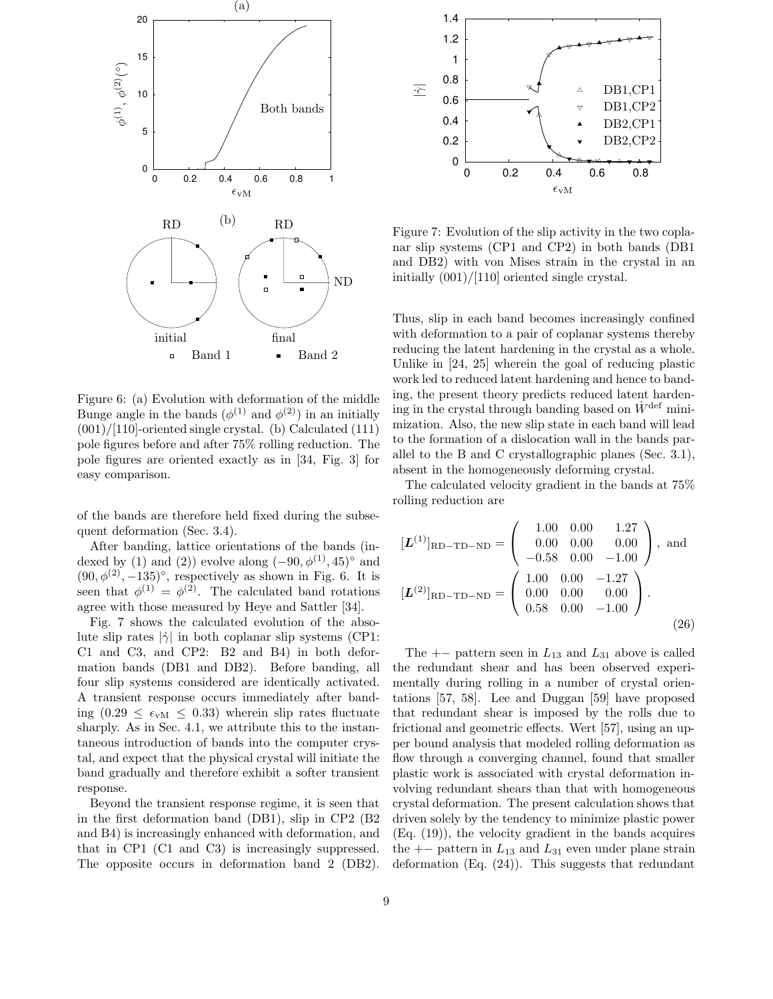

Figure 6: (a) Evolution with deformation of the middle Bunge angle in the bands  $(\phi^{(1)}$  and  $\phi^{(2)}$ ) in an initially  $(001)/[110]$ -oriented single crystal. (b) Calculated  $(111)$ pole figures before and after 75% rolling reduction. The pole figures are oriented exactly as in [34, Fig. 3] for easy comparison.

of the bands are therefore held fixed during the subsequent deformation (Sec. 3.4).

After banding, lattice orientations of the bands (indexed by (1) and (2)) evolve along  $(-90, \phi^{(1)}, 45)^\circ$  and  $(90, \phi^{(2)}, -135)^\circ$ , respectively as shown in Fig. 6. It is seen that  $\phi^{(1)} = \phi^{(2)}$ . The calculated band rotations agree with those measured by Heye and Sattler [34].

Fig. 7 shows the calculated evolution of the absolute slip rates  $|\dot{\gamma}|$  in both coplanar slip systems (CP1: C1 and C3, and CP2: B2 and B4) in both deformation bands (DB1 and DB2). Before banding, all four slip systems considered are identically activated. A transient response occurs immediately after banding  $(0.29 \leq \epsilon_{vM} \leq 0.33)$  wherein slip rates fluctuate sharply. As in Sec. 4.1, we attribute this to the instantaneous introduction of bands into the computer crystal, and expect that the physical crystal will initiate the band gradually and therefore exhibit a softer transient response.

Beyond the transient response regime, it is seen that in the first deformation band (DB1), slip in CP2 (B2 and B4) is increasingly enhanced with deformation, and that in CP1 (C1 and C3) is increasingly suppressed. The opposite occurs in deformation band 2 (DB2).



Figure 7: Evolution of the slip activity in the two coplanar slip systems (CP1 and CP2) in both bands (DB1 and DB2) with von Mises strain in the crystal in an initially (001)/[110] oriented single crystal.

Thus, slip in each band becomes increasingly confined with deformation to a pair of coplanar systems thereby reducing the latent hardening in the crystal as a whole. Unlike in [24, 25] wherein the goal of reducing plastic work led to reduced latent hardening and hence to banding, the present theory predicts reduced latent hardening in the crystal through banding based on  $\dot{W}^{\text{def}}$  minimization. Also, the new slip state in each band will lead to the formation of a dislocation wall in the bands parallel to the B and C crystallographic planes (Sec. 3.1), absent in the homogeneously deforming crystal.

The calculated velocity gradient in the bands at 75% rolling reduction are

$$
[\mathbf{L}^{(1)}]_{\text{RD-TD-ND}} = \begin{pmatrix} 1.00 & 0.00 & 1.27 \\ 0.00 & 0.00 & 0.00 \\ -0.58 & 0.00 & -1.00 \end{pmatrix}, \text{ and}
$$

$$
[\mathbf{L}^{(2)}]_{\text{RD-TD-ND}} = \begin{pmatrix} 1.00 & 0.00 & -1.27 \\ 0.00 & 0.00 & 0.00 \\ 0.58 & 0.00 & -1.00 \end{pmatrix}.
$$
 (26)

The  $+-$  pattern seen in  $L_{13}$  and  $L_{31}$  above is called the redundant shear and has been observed experimentally during rolling in a number of crystal orientations [57, 58]. Lee and Duggan [59] have proposed that redundant shear is imposed by the rolls due to frictional and geometric effects. Wert [57], using an upper bound analysis that modeled rolling deformation as flow through a converging channel, found that smaller plastic work is associated with crystal deformation involving redundant shears than that with homogeneous crystal deformation. The present calculation shows that driven solely by the tendency to minimize plastic power (Eq. (19)), the velocity gradient in the bands acquires the  $+-$  pattern in  $L_{13}$  and  $L_{31}$  even under plane strain deformation (Eq. (24)). This suggests that redundant